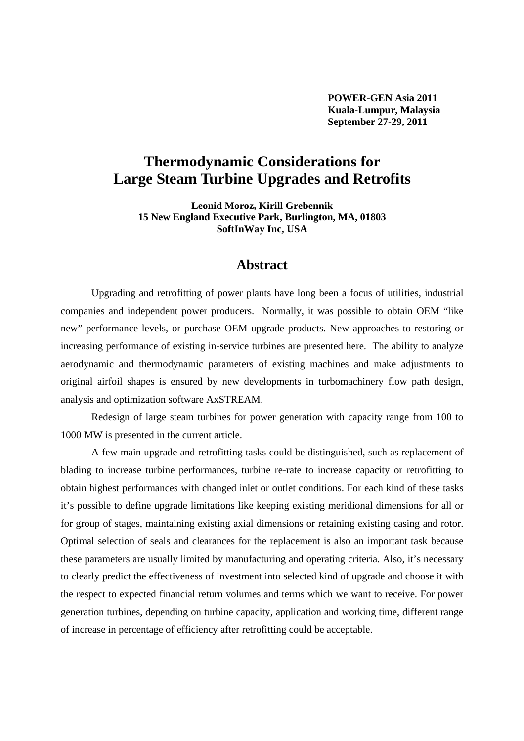**POWER-GEN Asia 2011 Kuala-Lumpur, Malaysia September 27-29, 2011** 

# **Thermodynamic Considerations for Large Steam Turbine Upgrades and Retrofits**

**Leonid Moroz, Kirill Grebennik 15 New England Executive Park, Burlington, MA, 01803 SoftInWay Inc, USA** 

### **Abstract**

Upgrading and retrofitting of power plants have long been a focus of utilities, industrial companies and independent power producers. Normally, it was possible to obtain OEM "like new" performance levels, or purchase OEM upgrade products. New approaches to restoring or increasing performance of existing in-service turbines are presented here. The ability to analyze aerodynamic and thermodynamic parameters of existing machines and make adjustments to original airfoil shapes is ensured by new developments in turbomachinery flow path design, analysis and optimization software AxSTREAM.

Redesign of large steam turbines for power generation with capacity range from 100 to 1000 MW is presented in the current article.

A few main upgrade and retrofitting tasks could be distinguished, such as replacement of blading to increase turbine performances, turbine re-rate to increase capacity or retrofitting to obtain highest performances with changed inlet or outlet conditions. For each kind of these tasks it's possible to define upgrade limitations like keeping existing meridional dimensions for all or for group of stages, maintaining existing axial dimensions or retaining existing casing and rotor. Optimal selection of seals and clearances for the replacement is also an important task because these parameters are usually limited by manufacturing and operating criteria. Also, it's necessary to clearly predict the effectiveness of investment into selected kind of upgrade and choose it with the respect to expected financial return volumes and terms which we want to receive. For power generation turbines, depending on turbine capacity, application and working time, different range of increase in percentage of efficiency after retrofitting could be acceptable.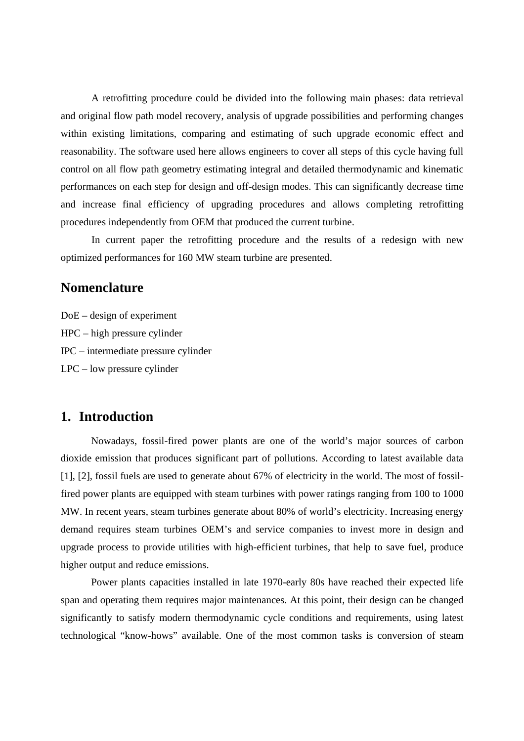A retrofitting procedure could be divided into the following main phases: data retrieval and original flow path model recovery, analysis of upgrade possibilities and performing changes within existing limitations, comparing and estimating of such upgrade economic effect and reasonability. The software used here allows engineers to cover all steps of this cycle having full control on all flow path geometry estimating integral and detailed thermodynamic and kinematic performances on each step for design and off-design modes. This can significantly decrease time and increase final efficiency of upgrading procedures and allows completing retrofitting procedures independently from OEM that produced the current turbine.

In current paper the retrofitting procedure and the results of a redesign with new optimized performances for 160 MW steam turbine are presented.

## **Nomenclature**

DoE – design of experiment HPC – high pressure cylinder IPC – intermediate pressure cylinder LPC – low pressure cylinder

#### **1. Introduction**

Nowadays, fossil-fired power plants are one of the world's major sources of carbon dioxide emission that produces significant part of pollutions. According to latest available data [1], [2], fossil fuels are used to generate about 67% of electricity in the world. The most of fossilfired power plants are equipped with steam turbines with power ratings ranging from 100 to 1000 MW. In recent years, steam turbines generate about 80% of world's electricity. Increasing energy demand requires steam turbines OEM's and service companies to invest more in design and upgrade process to provide utilities with high-efficient turbines, that help to save fuel, produce higher output and reduce emissions.

Power plants capacities installed in late 1970-early 80s have reached their expected life span and operating them requires major maintenances. At this point, their design can be changed significantly to satisfy modern thermodynamic cycle conditions and requirements, using latest technological "know-hows" available. One of the most common tasks is conversion of steam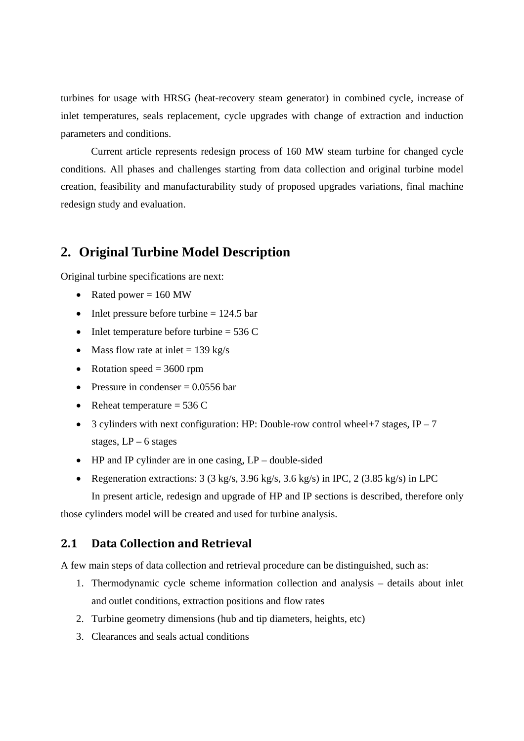turbines for usage with HRSG (heat-recovery steam generator) in combined cycle, increase of inlet temperatures, seals replacement, cycle upgrades with change of extraction and induction parameters and conditions.

Current article represents redesign process of 160 MW steam turbine for changed cycle conditions. All phases and challenges starting from data collection and original turbine model creation, feasibility and manufacturability study of proposed upgrades variations, final machine redesign study and evaluation.

## **2. Original Turbine Model Description**

Original turbine specifications are next:

- Rated power  $= 160$  MW
- Inlet pressure before turbine  $= 124.5$  bar
- Inlet temperature before turbine  $= 536$  C
- Mass flow rate at inlet  $= 139 \text{ kg/s}$
- Rotation speed  $= 3600$  rpm
- Pressure in condenser  $= 0.0556$  bar
- Reheat temperature  $= 536$  C
- 3 cylinders with next configuration: HP: Double-row control wheel+7 stages,  $IP 7$ stages, LP – 6 stages
- HP and IP cylinder are in one casing,  $LP$  double-sided
- Regeneration extractions:  $3$  ( $3$  kg/s,  $3.96$  kg/s,  $3.6$  kg/s) in IPC,  $2$  ( $3.85$  kg/s) in LPC

In present article, redesign and upgrade of HP and IP sections is described, therefore only

those cylinders model will be created and used for turbine analysis.

### **2.1 Data Collection and Retrieval**

A few main steps of data collection and retrieval procedure can be distinguished, such as:

- 1. Thermodynamic cycle scheme information collection and analysis details about inlet and outlet conditions, extraction positions and flow rates
- 2. Turbine geometry dimensions (hub and tip diameters, heights, etc)
- 3. Clearances and seals actual conditions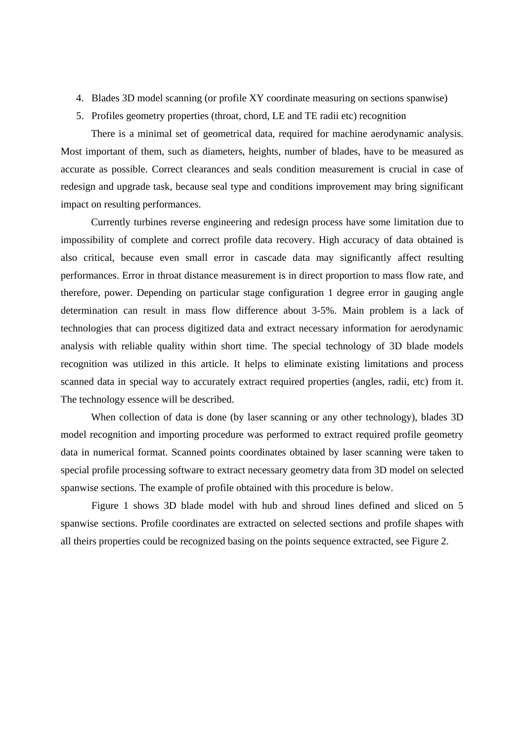- 4. Blades 3D model scanning (or profile XY coordinate measuring on sections spanwise)
- 5. Profiles geometry properties (throat, chord, LE and TE radii etc) recognition

There is a minimal set of geometrical data, required for machine aerodynamic analysis. Most important of them, such as diameters, heights, number of blades, have to be measured as accurate as possible. Correct clearances and seals condition measurement is crucial in case of redesign and upgrade task, because seal type and conditions improvement may bring significant impact on resulting performances.

Currently turbines reverse engineering and redesign process have some limitation due to impossibility of complete and correct profile data recovery. High accuracy of data obtained is also critical, because even small error in cascade data may significantly affect resulting performances. Error in throat distance measurement is in direct proportion to mass flow rate, and therefore, power. Depending on particular stage configuration 1 degree error in gauging angle determination can result in mass flow difference about 3-5%. Main problem is a lack of technologies that can process digitized data and extract necessary information for aerodynamic analysis with reliable quality within short time. The special technology of 3D blade models recognition was utilized in this article. It helps to eliminate existing limitations and process scanned data in special way to accurately extract required properties (angles, radii, etc) from it. The technology essence will be described.

When collection of data is done (by laser scanning or any other technology), blades 3D model recognition and importing procedure was performed to extract required profile geometry data in numerical format. Scanned points coordinates obtained by laser scanning were taken to special profile processing software to extract necessary geometry data from 3D model on selected spanwise sections. The example of profile obtained with this procedure is below.

 Figure 1 shows 3D blade model with hub and shroud lines defined and sliced on 5 spanwise sections. Profile coordinates are extracted on selected sections and profile shapes with all theirs properties could be recognized basing on the points sequence extracted, see Figure 2.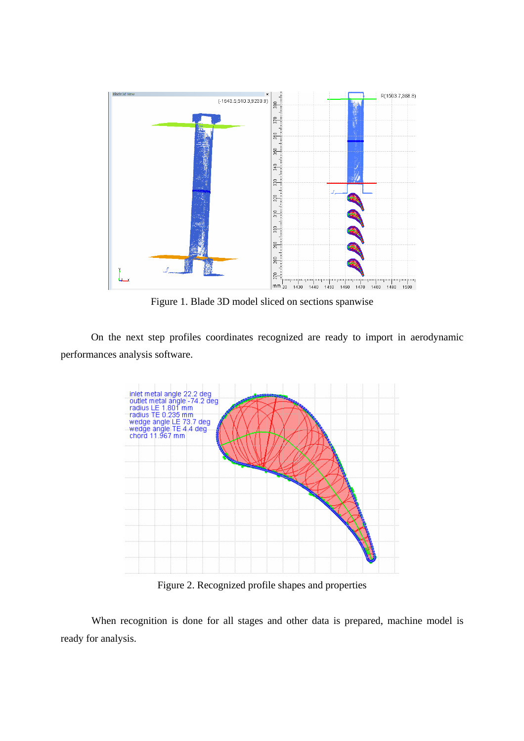

Figure 1. Blade 3D model sliced on sections spanwise

On the next step profiles coordinates recognized are ready to import in aerodynamic performances analysis software.



Figure 2. Recognized profile shapes and properties

When recognition is done for all stages and other data is prepared, machine model is ready for analysis.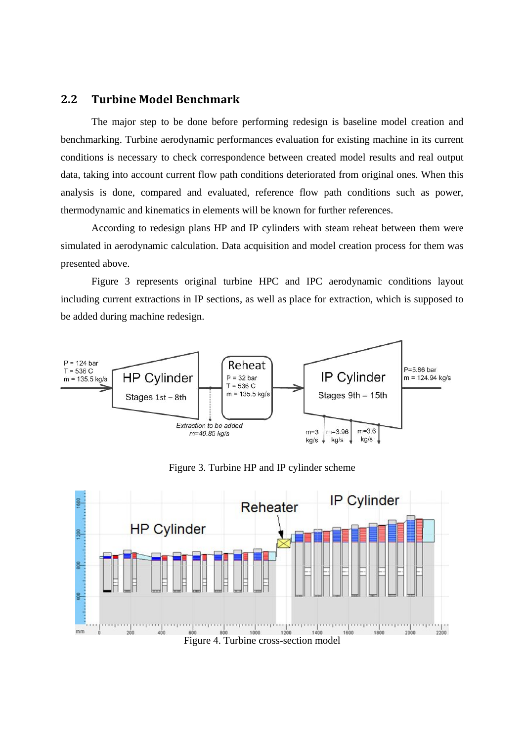#### **2.2 Turbine Model Benchmark**

The major step to be done before performing redesign is baseline model creation and benchmarking. Turbine aerodynamic performances evaluation for existing machine in its current conditions is necessary to check correspondence between created model results and real output data, taking into account current flow path conditions deteriorated from original ones. When this analysis is done, compared and evaluated, reference flow path conditions such as power, thermodynamic and kinematics in elements will be known for further references.

According to redesign plans HP and IP cylinders with steam reheat between them were simulated in aerodynamic calculation. Data acquisition and model creation process for them was presented above.

Figure 3 represents original turbine HPC and IPC aerodynamic conditions layout including current extractions in IP sections, as well as place for extraction, which is supposed to be added during machine redesign.



Figure 3. Turbine HP and IP cylinder scheme

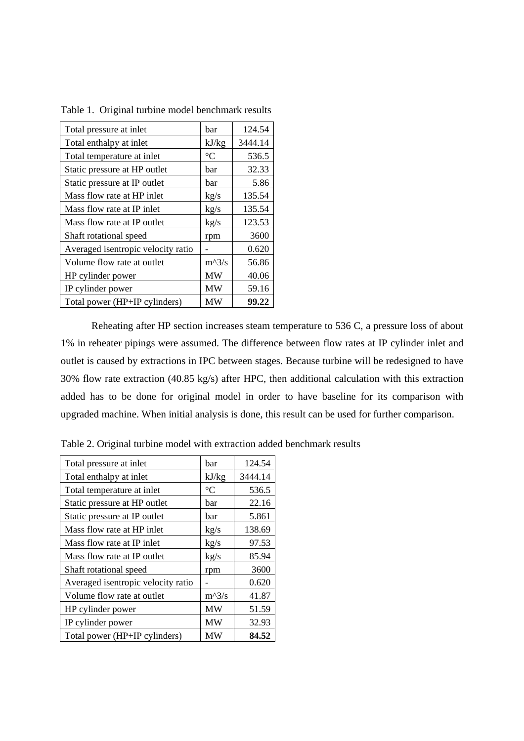| Total pressure at inlet            | bar             | 124.54  |
|------------------------------------|-----------------|---------|
| Total enthalpy at inlet            | kJ/kg           | 3444.14 |
| Total temperature at inlet         | $\rm ^{\circ}C$ | 536.5   |
| Static pressure at HP outlet       | bar             | 32.33   |
| Static pressure at IP outlet       | bar             | 5.86    |
| Mass flow rate at HP inlet         | kg/s            | 135.54  |
| Mass flow rate at IP inlet         | kg/s            | 135.54  |
| Mass flow rate at IP outlet        | kg/s            | 123.53  |
| Shaft rotational speed             | rpm             | 3600    |
| Averaged isentropic velocity ratio |                 | 0.620   |
| Volume flow rate at outlet         | $m^2/s$         | 56.86   |
| HP cylinder power                  | MW              | 40.06   |
| IP cylinder power                  | <b>MW</b>       | 59.16   |
| Total power (HP+IP cylinders)      | MW              | 99.22   |

Table 1. Original turbine model benchmark results

Reheating after HP section increases steam temperature to 536 C, a pressure loss of about 1% in reheater pipings were assumed. The difference between flow rates at IP cylinder inlet and outlet is caused by extractions in IPC between stages. Because turbine will be redesigned to have 30% flow rate extraction (40.85 kg/s) after HPC, then additional calculation with this extraction added has to be done for original model in order to have baseline for its comparison with upgraded machine. When initial analysis is done, this result can be used for further comparison.

| Total pressure at inlet            | bar             | 124.54  |
|------------------------------------|-----------------|---------|
| Total enthalpy at inlet            | kJ/kg           | 3444.14 |
| Total temperature at inlet         | $\rm ^{\circ}C$ | 536.5   |
| Static pressure at HP outlet       | bar             | 22.16   |
| Static pressure at IP outlet       | bar             | 5.861   |
| Mass flow rate at HP inlet         | kg/s            | 138.69  |
| Mass flow rate at IP inlet         | kg/s            | 97.53   |
| Mass flow rate at IP outlet        | kg/s            | 85.94   |
| Shaft rotational speed             | rpm             | 3600    |
| Averaged isentropic velocity ratio |                 | 0.620   |
| Volume flow rate at outlet         | $m^2/s$         | 41.87   |
| HP cylinder power                  | <b>MW</b>       | 51.59   |
| IP cylinder power                  | MW              | 32.93   |
| Total power (HP+IP cylinders)      | МW              | 84.52   |

Table 2. Original turbine model with extraction added benchmark results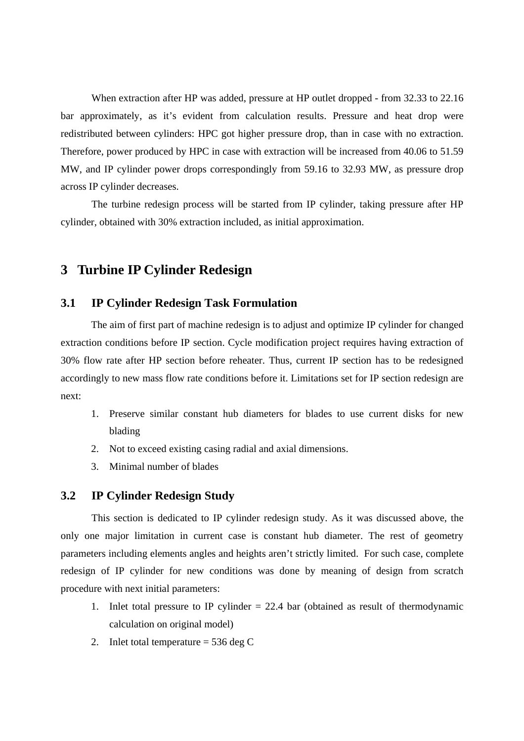When extraction after HP was added, pressure at HP outlet dropped - from 32.33 to 22.16 bar approximately, as it's evident from calculation results. Pressure and heat drop were redistributed between cylinders: HPC got higher pressure drop, than in case with no extraction. Therefore, power produced by HPC in case with extraction will be increased from 40.06 to 51.59 MW, and IP cylinder power drops correspondingly from 59.16 to 32.93 MW, as pressure drop across IP cylinder decreases.

The turbine redesign process will be started from IP cylinder, taking pressure after HP cylinder, obtained with 30% extraction included, as initial approximation.

### **3 Turbine IP Cylinder Redesign**

#### **3.1 IP Cylinder Redesign Task Formulation**

The aim of first part of machine redesign is to adjust and optimize IP cylinder for changed extraction conditions before IP section. Cycle modification project requires having extraction of 30% flow rate after HP section before reheater. Thus, current IP section has to be redesigned accordingly to new mass flow rate conditions before it. Limitations set for IP section redesign are next:

- 1. Preserve similar constant hub diameters for blades to use current disks for new blading
- 2. Not to exceed existing casing radial and axial dimensions.
- 3. Minimal number of blades

#### **3.2 IP Cylinder Redesign Study**

This section is dedicated to IP cylinder redesign study. As it was discussed above, the only one major limitation in current case is constant hub diameter. The rest of geometry parameters including elements angles and heights aren't strictly limited. For such case, complete redesign of IP cylinder for new conditions was done by meaning of design from scratch procedure with next initial parameters:

- 1. Inlet total pressure to IP cylinder = 22.4 bar (obtained as result of thermodynamic calculation on original model)
- 2. Inlet total temperature  $= 536 \text{ deg } C$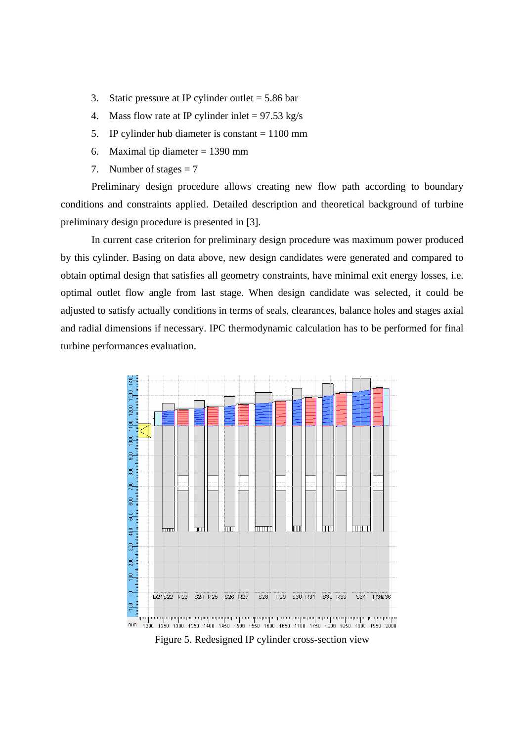- 3. Static pressure at IP cylinder outlet  $= 5.86$  bar
- 4. Mass flow rate at IP cylinder inlet  $= 97.53 \text{ kg/s}$
- 5. IP cylinder hub diameter is constant = 1100 mm
- 6. Maximal tip diameter  $= 1390$  mm
- 7. Number of stages  $= 7$

Preliminary design procedure allows creating new flow path according to boundary conditions and constraints applied. Detailed description and theoretical background of turbine preliminary design procedure is presented in [3].

In current case criterion for preliminary design procedure was maximum power produced by this cylinder. Basing on data above, new design candidates were generated and compared to obtain optimal design that satisfies all geometry constraints, have minimal exit energy losses, i.e. optimal outlet flow angle from last stage. When design candidate was selected, it could be adjusted to satisfy actually conditions in terms of seals, clearances, balance holes and stages axial and radial dimensions if necessary. IPC thermodynamic calculation has to be performed for final turbine performances evaluation.



Figure 5. Redesigned IP cylinder cross-section view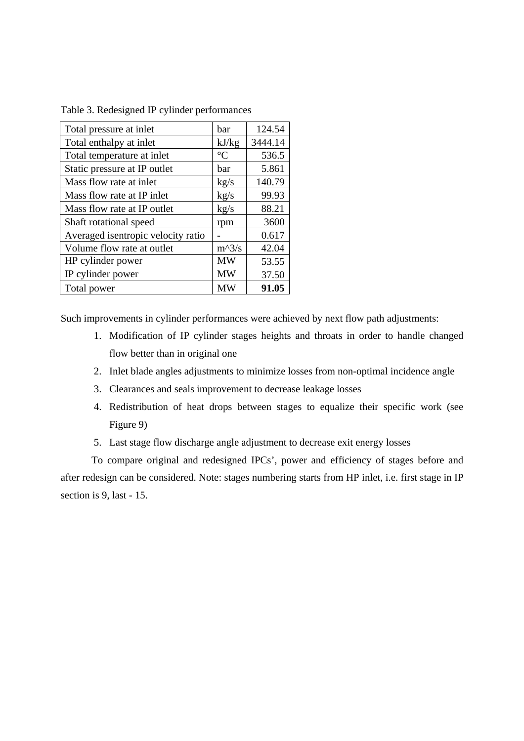| Total pressure at inlet            | bar             | 124.54  |
|------------------------------------|-----------------|---------|
| Total enthalpy at inlet            | kJ/kg           | 3444.14 |
| Total temperature at inlet         | $\rm ^{\circ}C$ | 536.5   |
| Static pressure at IP outlet       | bar             | 5.861   |
| Mass flow rate at inlet            | kg/s            | 140.79  |
| Mass flow rate at IP inlet         | kg/s            | 99.93   |
| Mass flow rate at IP outlet        | kg/s            | 88.21   |
| Shaft rotational speed             | rpm             | 3600    |
| Averaged isentropic velocity ratio |                 | 0.617   |
| Volume flow rate at outlet         | $m^3/s$         | 42.04   |
| HP cylinder power                  | <b>MW</b>       | 53.55   |
| IP cylinder power                  | <b>MW</b>       | 37.50   |
| Total power                        | <b>MW</b>       | 91.05   |

Table 3. Redesigned IP cylinder performances

Such improvements in cylinder performances were achieved by next flow path adjustments:

- 1. Modification of IP cylinder stages heights and throats in order to handle changed flow better than in original one
- 2. Inlet blade angles adjustments to minimize losses from non-optimal incidence angle
- 3. Clearances and seals improvement to decrease leakage losses
- 4. Redistribution of heat drops between stages to equalize their specific work (see Figure 9)
- 5. Last stage flow discharge angle adjustment to decrease exit energy losses

To compare original and redesigned IPCs', power and efficiency of stages before and after redesign can be considered. Note: stages numbering starts from HP inlet, i.e. first stage in IP section is 9, last - 15.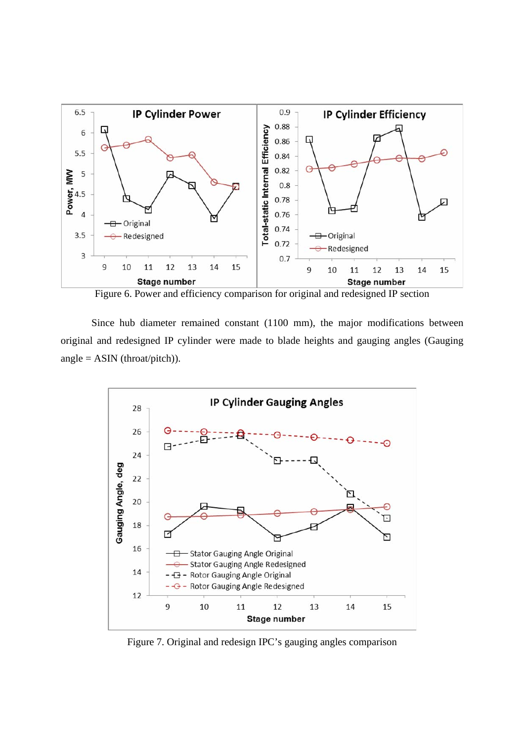

Figure 6. Power and efficiency comparison for original and redesigned IP section

Since hub diameter remained constant (1100 mm), the major modifications between original and redesigned IP cylinder were made to blade heights and gauging angles (Gauging angle =  $ASIN$  (throat/pitch)).



Figure 7. Original and redesign IPC's gauging angles comparison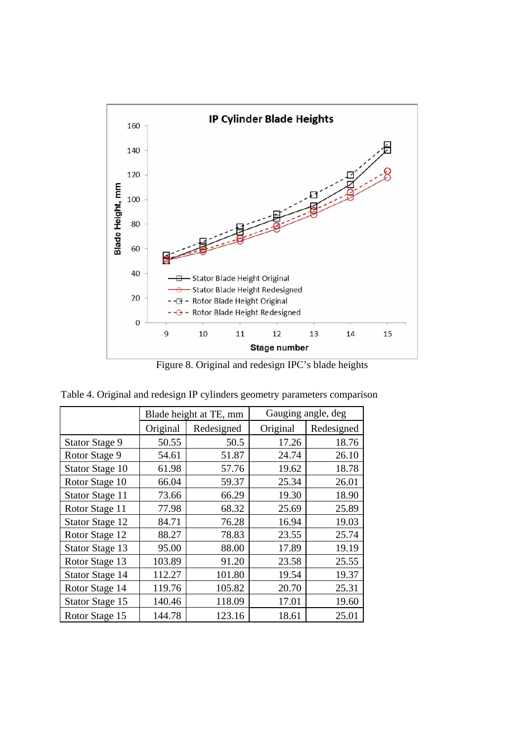

Figure 8. Original and redesign IPC's blade heights

|                        | Blade height at TE, mm |            | Gauging angle, deg |            |
|------------------------|------------------------|------------|--------------------|------------|
|                        | Original               | Redesigned | Original           | Redesigned |
| <b>Stator Stage 9</b>  | 50.55                  | 50.5       | 17.26              | 18.76      |
| Rotor Stage 9          | 54.61                  | 51.87      | 24.74              | 26.10      |
| Stator Stage 10        | 61.98                  | 57.76      | 19.62              | 18.78      |
| Rotor Stage 10         | 66.04                  | 59.37      | 25.34              | 26.01      |
| Stator Stage 11        | 73.66                  | 66.29      | 19.30              | 18.90      |
| Rotor Stage 11         | 77.98                  | 68.32      | 25.69              | 25.89      |
| <b>Stator Stage 12</b> | 84.71                  | 76.28      | 16.94              | 19.03      |
| Rotor Stage 12         | 88.27                  | 78.83      | 23.55              | 25.74      |
| <b>Stator Stage 13</b> | 95.00                  | 88.00      | 17.89              | 19.19      |
| Rotor Stage 13         | 103.89                 | 91.20      | 23.58              | 25.55      |
| Stator Stage 14        | 112.27                 | 101.80     | 19.54              | 19.37      |
| Rotor Stage 14         | 119.76                 | 105.82     | 20.70              | 25.31      |
| Stator Stage 15        | 140.46                 | 118.09     | 17.01              | 19.60      |
| Rotor Stage 15         | 144.78                 | 123.16     | 18.61              | 25.01      |

Table 4. Original and redesign IP cylinders geometry parameters comparison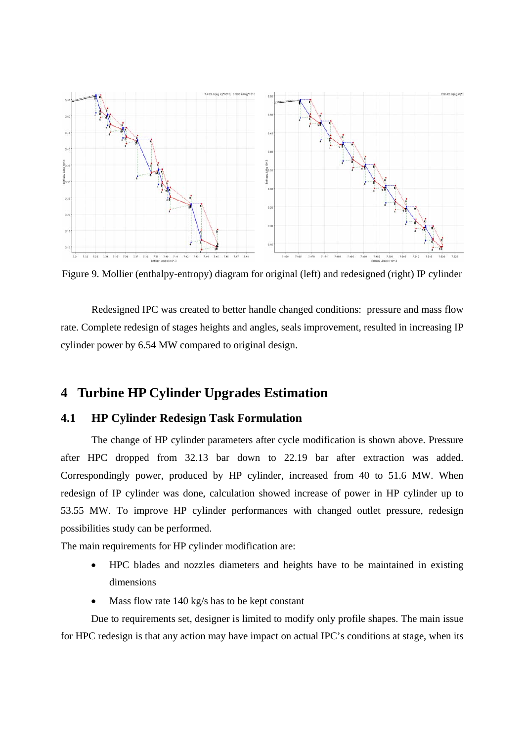

Figure 9. Mollier (enthalpy-entropy) diagram for original (left) and redesigned (right) IP cylinder

Redesigned IPC was created to better handle changed conditions: pressure and mass flow rate. Complete redesign of stages heights and angles, seals improvement, resulted in increasing IP cylinder power by 6.54 MW compared to original design.

## **4 Turbine HP Cylinder Upgrades Estimation**

#### **4.1 HP Cylinder Redesign Task Formulation**

The change of HP cylinder parameters after cycle modification is shown above. Pressure after HPC dropped from 32.13 bar down to 22.19 bar after extraction was added. Correspondingly power, produced by HP cylinder, increased from 40 to 51.6 MW. When redesign of IP cylinder was done, calculation showed increase of power in HP cylinder up to 53.55 MW. To improve HP cylinder performances with changed outlet pressure, redesign possibilities study can be performed.

The main requirements for HP cylinder modification are:

- HPC blades and nozzles diameters and heights have to be maintained in existing dimensions
- Mass flow rate 140 kg/s has to be kept constant

Due to requirements set, designer is limited to modify only profile shapes. The main issue for HPC redesign is that any action may have impact on actual IPC's conditions at stage, when its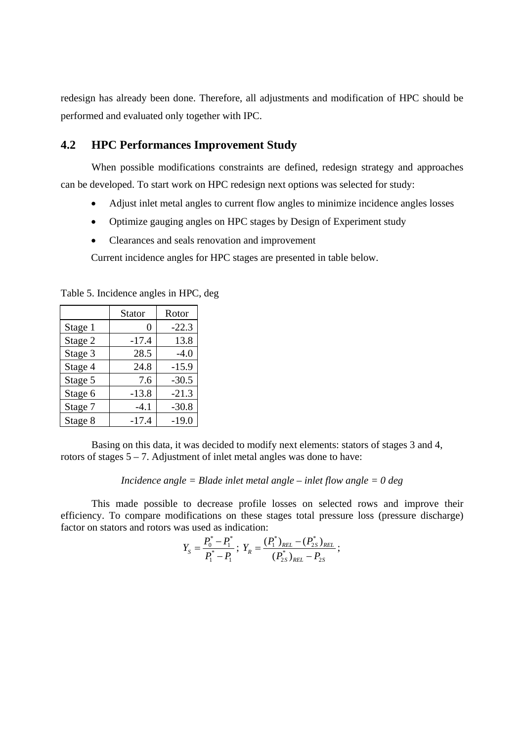redesign has already been done. Therefore, all adjustments and modification of HPC should be performed and evaluated only together with IPC.

#### **4.2 HPC Performances Improvement Study**

When possible modifications constraints are defined, redesign strategy and approaches can be developed. To start work on HPC redesign next options was selected for study:

- Adjust inlet metal angles to current flow angles to minimize incidence angles losses
- Optimize gauging angles on HPC stages by Design of Experiment study
- Clearances and seals renovation and improvement

Current incidence angles for HPC stages are presented in table below.

Table 5. Incidence angles in HPC, deg

|         | Stator  | Rotor   |
|---------|---------|---------|
| Stage 1 | 0       | $-22.3$ |
| Stage 2 | $-17.4$ | 13.8    |
| Stage 3 | 28.5    | $-4.0$  |
| Stage 4 | 24.8    | $-15.9$ |
| Stage 5 | 7.6     | $-30.5$ |
| Stage 6 | $-13.8$ | $-21.3$ |
| Stage 7 | $-4.1$  | $-30.8$ |
| Stage 8 | $-17.4$ | $-19.0$ |

Basing on this data, it was decided to modify next elements: stators of stages 3 and 4, rotors of stages  $5 - 7$ . Adjustment of inlet metal angles was done to have:

*Incidence angle = Blade inlet metal angle – inlet flow angle = 0 deg* 

This made possible to decrease profile losses on selected rows and improve their efficiency. To compare modifications on these stages total pressure loss (pressure discharge) factor on stators and rotors was used as indication:

$$
Y_S = \frac{P_0^* - P_1^*}{P_1^* - P_1}; \ Y_R = \frac{(P_1^*)_{REL} - (P_{2S}^*)_{REL}}{(P_{2S}^*)_{REL} - P_{2S}};
$$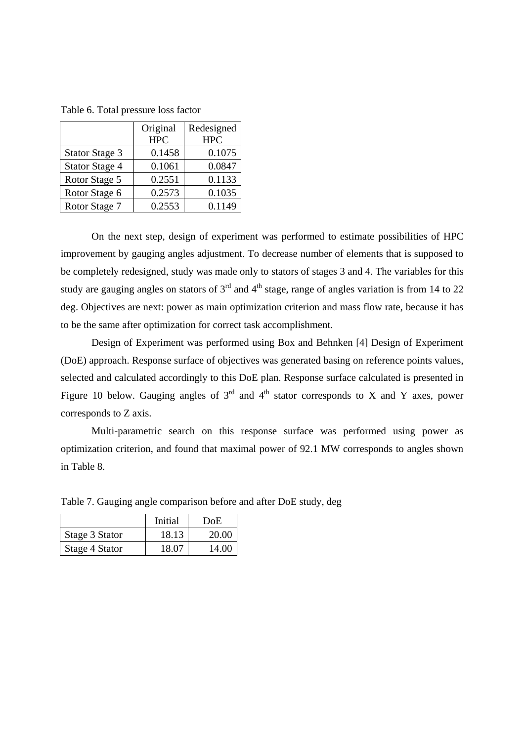|                       | Original<br><b>HPC</b> | Redesigned<br><b>HPC</b> |
|-----------------------|------------------------|--------------------------|
| <b>Stator Stage 3</b> | 0.1458                 | 0.1075                   |
| <b>Stator Stage 4</b> | 0.1061                 | 0.0847                   |
| Rotor Stage 5         | 0.2551                 | 0.1133                   |
| Rotor Stage 6         | 0.2573                 | 0.1035                   |
| Rotor Stage 7         | 0.2553                 | 0.1149                   |

Table 6. Total pressure loss factor

On the next step, design of experiment was performed to estimate possibilities of HPC improvement by gauging angles adjustment. To decrease number of elements that is supposed to be completely redesigned, study was made only to stators of stages 3 and 4. The variables for this study are gauging angles on stators of  $3<sup>rd</sup>$  and  $4<sup>th</sup>$  stage, range of angles variation is from 14 to 22 deg. Objectives are next: power as main optimization criterion and mass flow rate, because it has to be the same after optimization for correct task accomplishment.

Design of Experiment was performed using Box and Behnken [4] Design of Experiment (DoE) approach. Response surface of objectives was generated basing on reference points values, selected and calculated accordingly to this DoE plan. Response surface calculated is presented in Figure 10 below. Gauging angles of  $3<sup>rd</sup>$  and  $4<sup>th</sup>$  stator corresponds to X and Y axes, power corresponds to Z axis.

Multi-parametric search on this response surface was performed using power as optimization criterion, and found that maximal power of 92.1 MW corresponds to angles shown in Table 8.

|                | Initial | DoE   |
|----------------|---------|-------|
| Stage 3 Stator | 18.13   | 20.00 |
| Stage 4 Stator | 18.07   | 14.00 |

Table 7. Gauging angle comparison before and after DoE study, deg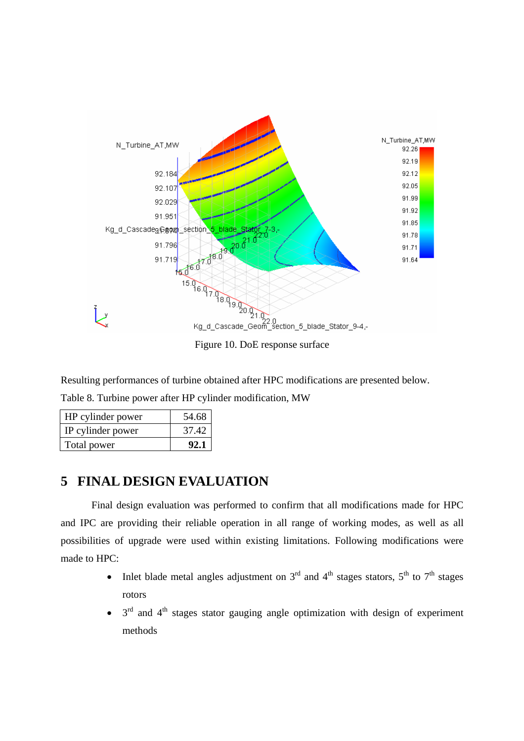

Resulting performances of turbine obtained after HPC modifications are presented below.

Table 8. Turbine power after HP cylinder modification, MW

| HP cylinder power | 54.68 |
|-------------------|-------|
| IP cylinder power | 37.42 |
| Total power       | 92.1  |

## **5 FINAL DESIGN EVALUATION**

Final design evaluation was performed to confirm that all modifications made for HPC and IPC are providing their reliable operation in all range of working modes, as well as all possibilities of upgrade were used within existing limitations. Following modifications were made to HPC:

- Inlet blade metal angles adjustment on  $3<sup>rd</sup>$  and  $4<sup>th</sup>$  stages stators,  $5<sup>th</sup>$  to  $7<sup>th</sup>$  stages rotors
- $3<sup>rd</sup>$  and  $4<sup>th</sup>$  stages stator gauging angle optimization with design of experiment methods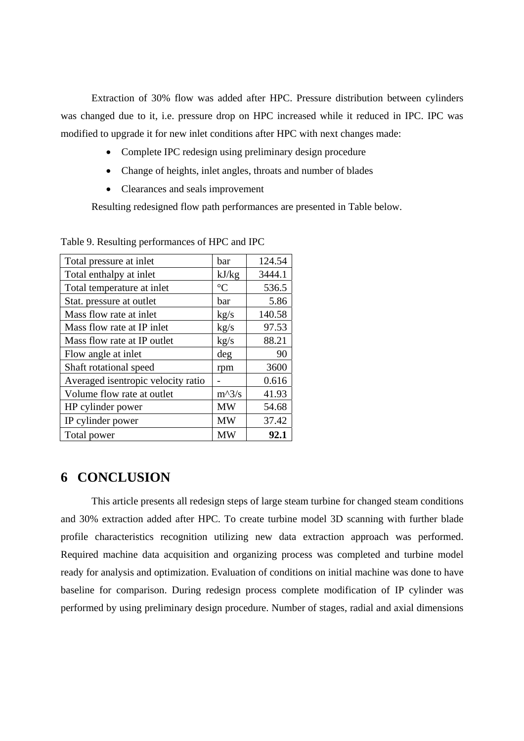Extraction of 30% flow was added after HPC. Pressure distribution between cylinders was changed due to it, i.e. pressure drop on HPC increased while it reduced in IPC. IPC was modified to upgrade it for new inlet conditions after HPC with next changes made:

- Complete IPC redesign using preliminary design procedure
- Change of heights, inlet angles, throats and number of blades
- Clearances and seals improvement

Resulting redesigned flow path performances are presented in Table below.

| Total pressure at inlet            | bar             | 124.54 |
|------------------------------------|-----------------|--------|
| Total enthalpy at inlet            | kJ/kg           | 3444.1 |
| Total temperature at inlet         | $\rm ^{\circ}C$ | 536.5  |
| Stat. pressure at outlet           | bar             | 5.86   |
| Mass flow rate at inlet            | kg/s            | 140.58 |
| Mass flow rate at IP inlet         | kg/s            | 97.53  |
| Mass flow rate at IP outlet        | kg/s            | 88.21  |
| Flow angle at inlet                | deg             | 90     |
| Shaft rotational speed             | rpm             | 3600   |
| Averaged isentropic velocity ratio |                 | 0.616  |
| Volume flow rate at outlet         | $m^2/8$         | 41.93  |
| HP cylinder power                  | <b>MW</b>       | 54.68  |
| IP cylinder power                  | <b>MW</b>       | 37.42  |
| Total power                        | MW              | 92.1   |

Table 9. Resulting performances of HPC and IPC

## **6 CONCLUSION**

This article presents all redesign steps of large steam turbine for changed steam conditions and 30% extraction added after HPC. To create turbine model 3D scanning with further blade profile characteristics recognition utilizing new data extraction approach was performed. Required machine data acquisition and organizing process was completed and turbine model ready for analysis and optimization. Evaluation of conditions on initial machine was done to have baseline for comparison. During redesign process complete modification of IP cylinder was performed by using preliminary design procedure. Number of stages, radial and axial dimensions